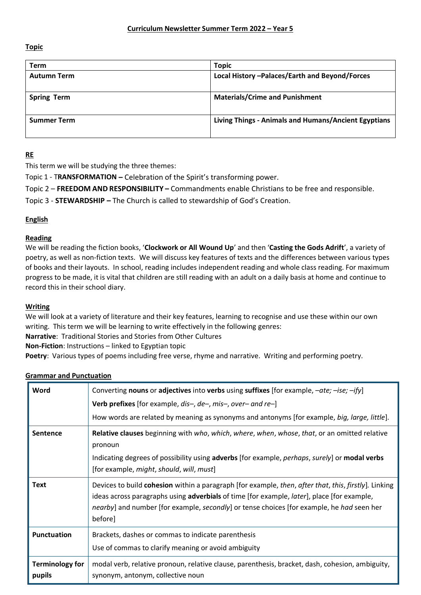**Topic**

| Term               | <b>Topic</b>                                         |
|--------------------|------------------------------------------------------|
| <b>Autumn Term</b> | Local History - Palaces/Earth and Beyond/Forces      |
| <b>Spring Term</b> | <b>Materials/Crime and Punishment</b>                |
| <b>Summer Term</b> | Living Things - Animals and Humans/Ancient Egyptians |

# **RE**

This term we will be studying the three themes:

Topic 1 - T**RANSFORMATION –** Celebration of the Spirit's transforming power.

Topic 2 – **FREEDOM AND RESPONSIBILITY –** Commandments enable Christians to be free and responsible.

Topic 3 - **STEWARDSHIP –** The Church is called to stewardship of God's Creation.

## **English**

## **Reading**

We will be reading the fiction books, '**Clockwork or All Wound Up**' and then '**Casting the Gods Adrift**', a variety of poetry, as well as non-fiction texts. We will discuss key features of texts and the differences between various types of books and their layouts. In school, reading includes independent reading and whole class reading. For maximum progress to be made, it is vital that children are still reading with an adult on a daily basis at home and continue to record this in their school diary.

## **Writing**

We will look at a variety of literature and their key features, learning to recognise and use these within our own writing. This term we will be learning to write effectively in the following genres:

**Narrative**: Traditional Stories and Stories from Other Cultures

**Non-Fiction**: Instructions – linked to Egyptian topic

**Poetry**: Various types of poems including free verse, rhyme and narrative. Writing and performing poetry.

| <b>Grammar and Punctuation</b> |  |                 |
|--------------------------------|--|-----------------|
|                                |  | Converting noun |

| Word                             | Converting nouns or adjectives into verbs using suffixes [for example, $-\alpha t e$ ; $-i s e$ ; $-i f y$ ]                                                                                                                                                                                                              |  |
|----------------------------------|---------------------------------------------------------------------------------------------------------------------------------------------------------------------------------------------------------------------------------------------------------------------------------------------------------------------------|--|
|                                  | <b>Verb prefixes</b> [for example, $dis-, de-, mis-, over-$ and $re-$ ]                                                                                                                                                                                                                                                   |  |
|                                  | How words are related by meaning as synonyms and antonyms [for example, big, large, little].                                                                                                                                                                                                                              |  |
| Sentence                         | Relative clauses beginning with who, which, where, when, whose, that, or an omitted relative<br>pronoun<br>Indicating degrees of possibility using adverbs [for example, perhaps, surely] or modal verbs<br>[for example, might, should, will, must]                                                                      |  |
| <b>Text</b>                      | Devices to build cohesion within a paragraph [for example, then, after that, this, firstly]. Linking<br>ideas across paragraphs using <b>adverbials</b> of time [for example, <i>later</i> ], place [for example,<br>nearby] and number [for example, secondly] or tense choices [for example, he had seen her<br>before] |  |
| Punctuation                      | Brackets, dashes or commas to indicate parenthesis<br>Use of commas to clarify meaning or avoid ambiguity                                                                                                                                                                                                                 |  |
| <b>Terminology for</b><br>pupils | modal verb, relative pronoun, relative clause, parenthesis, bracket, dash, cohesion, ambiguity,<br>synonym, antonym, collective noun                                                                                                                                                                                      |  |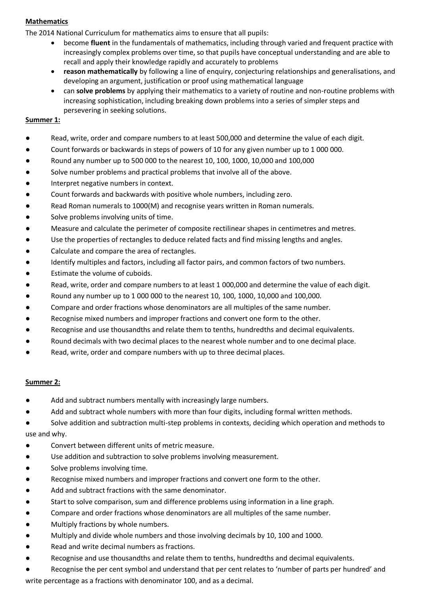## **Mathematics**

The 2014 National Curriculum for mathematics aims to ensure that all pupils:

- become **fluent** in the fundamentals of mathematics, including through varied and frequent practice with increasingly complex problems over time, so that pupils have conceptual understanding and are able to recall and apply their knowledge rapidly and accurately to problems
- **reason mathematically** by following a line of enquiry, conjecturing relationships and generalisations, and developing an argument, justification or proof using mathematical language
- can **solve problems** by applying their mathematics to a variety of routine and non-routine problems with increasing sophistication, including breaking down problems into a series of simpler steps and persevering in seeking solutions.

#### **Summer 1:**

- Read, write, order and compare numbers to at least 500,000 and determine the value of each digit.
- Count forwards or backwards in steps of powers of 10 for any given number up to 1 000 000.
- Round any number up to 500 000 to the nearest 10, 100, 1000, 10,000 and 100,000
- Solve number problems and practical problems that involve all of the above.
- Interpret negative numbers in context.
- Count forwards and backwards with positive whole numbers, including zero.
- Read Roman numerals to 1000(M) and recognise years written in Roman numerals.
- Solve problems involving units of time.
- Measure and calculate the perimeter of composite rectilinear shapes in centimetres and metres.
- Use the properties of rectangles to deduce related facts and find missing lengths and angles.
- Calculate and compare the area of rectangles.
- Identify multiples and factors, including all factor pairs, and common factors of two numbers.
- Estimate the volume of cuboids.
- Read, write, order and compare numbers to at least 1 000,000 and determine the value of each digit.
- Round any number up to 1 000 000 to the nearest 10, 100, 1000, 10,000 and 100,000.
- Compare and order fractions whose denominators are all multiples of the same number.
- Recognise mixed numbers and improper fractions and convert one form to the other.
- Recognise and use thousandths and relate them to tenths, hundredths and decimal equivalents.
- Round decimals with two decimal places to the nearest whole number and to one decimal place.
- Read, write, order and compare numbers with up to three decimal places.

#### **Summer 2:**

- Add and subtract numbers mentally with increasingly large numbers.
- Add and subtract whole numbers with more than four digits, including formal written methods.
- Solve addition and subtraction multi-step problems in contexts, deciding which operation and methods to use and why.
- Convert between different units of metric measure.
- Use addition and subtraction to solve problems involving measurement.
- Solve problems involving time.
- Recognise mixed numbers and improper fractions and convert one form to the other.
- Add and subtract fractions with the same denominator.
- Start to solve comparison, sum and difference problems using information in a line graph.
- Compare and order fractions whose denominators are all multiples of the same number.
- Multiply fractions by whole numbers.
- Multiply and divide whole numbers and those involving decimals by 10, 100 and 1000.
- Read and write decimal numbers as fractions.
- Recognise and use thousandths and relate them to tenths, hundredths and decimal equivalents.
- Recognise the per cent symbol and understand that per cent relates to 'number of parts per hundred' and

write percentage as a fractions with denominator 100, and as a decimal.